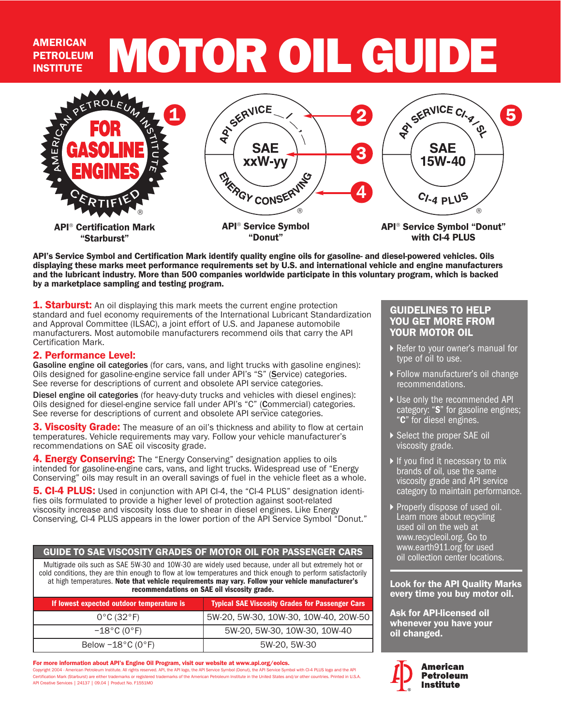## AMERICAN MOTOR OIL GUIDE **PETROLEUM** INSTITUTE



API's Service Symbol and Certification Mark identify quality engine oils for gasoline- and diesel-powered vehicles. Oils displaying these marks meet performance requirements set by U.S. and international vehicle and engine manufacturers and the lubricant industry. More than 500 companies worldwide participate in this voluntary program, which is backed by a marketplace sampling and testing program.

**1. Starburst:** An oil displaying this mark meets the current engine protection standard and fuel economy requirements of the International Lubricant Standardization and Approval Committee (ILSAC), a joint effort of U.S. and Japanese automobile manufacturers. Most automobile manufacturers recommend oils that carry the API Certification Mark.

## 2. Performance Level:

Gasoline engine oil categories (for cars, vans, and light trucks with gasoline engines): Oils designed for gasoline-engine service fall under API's "S" (Service) categories. See reverse for descriptions of current and obsolete API service categories.

Diesel engine oil categories (for heavy-duty trucks and vehicles with diesel engines): Oils designed for diesel-engine service fall under API's "C" (Commercial) categories. See reverse for descriptions of current and obsolete API service categories.

3. Viscosity Grade: The measure of an oil's thickness and ability to flow at certain temperatures. Vehicle requirements may vary. Follow your vehicle manufacturer's recommendations on SAE oil viscosity grade.

4. **Energy Conserving:** The "Energy Conserving" designation applies to oils intended for gasoline-engine cars, vans, and light trucks. Widespread use of "Energy Conserving" oils may result in an overall savings of fuel in the vehicle fleet as a whole.

**5. CI-4 PLUS:** Used in conjunction with API CI-4, the "CI-4 PLUS" designation identifies oils formulated to provide a higher level of protection against soot-related viscosity increase and viscosity loss due to shear in diesel engines. Like Energy Conserving, CI-4 PLUS appears in the lower portion of the API Service Symbol "Donut."

#### GUIDE TO SAE VISCOSITY GRADES OF MOTOR OIL FOR PASSENGER CARS

Multigrade oils such as SAE 5W-30 and 10W-30 are widely used because, under all but extremely hot or cold conditions, they are thin enough to flow at low temperatures and thick enough to perform satisfactorily at high temperatures. Note that vehicle requirements may vary. Follow your vehicle manufacturer's recommendations on SAE oil viscosity grade.

| If lowest expected outdoor temperature is | <b>Typical SAE Viscosity Grades for Passenger Cars</b> |
|-------------------------------------------|--------------------------------------------------------|
| $0^{\circ}$ C (32 $^{\circ}$ F)           | 5W-20, 5W-30, 10W-30, 10W-40, 20W-50                   |
| $-18^{\circ}$ C (0°F).                    | 5W-20, 5W-30, 10W-30, 10W-40                           |
| Below $-18^{\circ}$ C (0 $^{\circ}$ F)    | 5W-20, 5W-30                                           |

For more information about API's Engine Oil Program, visit our website at www.api.org/eolcs. Copyright 2004 - American Petroleum Institute. All rights reserved. API, the API logo, the API Service Symbol (Donut), the API Service Symbol with CI-4 PLUS logo and the API Certification Mark (Starburst) are either trademarks or registered trademarks of the American Petroleum Institute in the United States and/or other countries. Printed in U.S.A. API Creative Services | 24137 | 09.04 | Product No. F1551MO

### GUIDELINES TO HELP YOU GET MORE FROM YOUR MOTOR OIL

- ▶ Refer to your owner's manual for type of oil to use.
- Follow manufacturer's oil change recommendations.
- ▶ Use only the recommended API category: "S" for gasoline engines;<br>"C" for diesel engines.
- Select the proper SAE oil viscosity grade.
- If you find it necessary to mix brands of oil, use the same viscosity grade and API service category to maintain performance.
- ▶ Properly dispose of used oil. Learn more about recycling used oil on the web at www.recycleoil.org. Go to www.earth911.org for used oil collection center locations.

#### Look for the API Quality Marks every time you buy motor oil.

Ask for API-licensed oil whenever you have your oil changed.